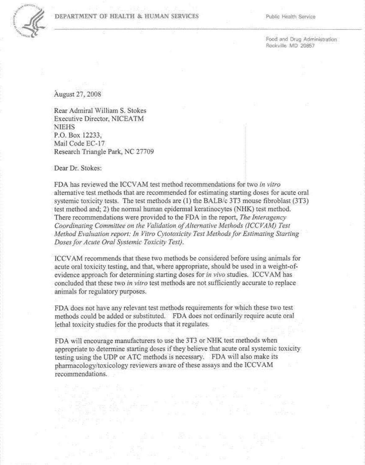

## **DEPARTMENT OF HEALTH & HUMAN SERVICES** Public Health Service

Rockville MD 20857

August 27,2008

Rear Admiral William S. Stokes Executive Director, NICEATM **NIEHS** P.O. Box 12233, Mail Code EC-17 Research Triangle Park, NC 27709

Dear Dr. Stokes:

PDA bas reviewed the ICCVAM test method recommendations for two *in vitro*  alternative test methods that are recommended for estimating starting doses for acute oral systemic toxicity tests. The test methods are (1) the BALB/c 3T3 mouse fibroblast (3T3) test method and; 2) the normal human epidermal keratinocytes (NHK) test method. There reconnnendations were provided to the FDA in the report, *The Interagency*  Coordinating Committee on the Validation of Alternative Methods (ICCVAM) Test *Method Evaluation report: In Vitro Cytotoxicity Test Methods for Estimating Starting Doses for Acute Oral Systemic Toxicity Test).* 

ICCVAM recommends that these two methods be considered before using animals for acute oral toxicity testing, and that, where appropriate, should be used in a weight-ofevidence approach for determining starting doses for *in vivo* studies. ICCVAM has concluded that these two *in vitro* test methods are not sufficiently accurate to replace animals for regulatory purposes.

FDA does not have any relevant test methods requirements for which these two test methods could be added or substituted. FDA does not ordinarily require acute oral lethal toxicity studies for the products that it regulates.

FDA will encourage manufacturers to use the 3T3 or NHK test methods when appropriate to determine starting doses if they believe that acute oral systemic toxicity testing using the UDP or ATC methods is necessary. FDA will also make its pharmacology/toxicology reviewers aware of these assays and the ICCVAM recommendations.